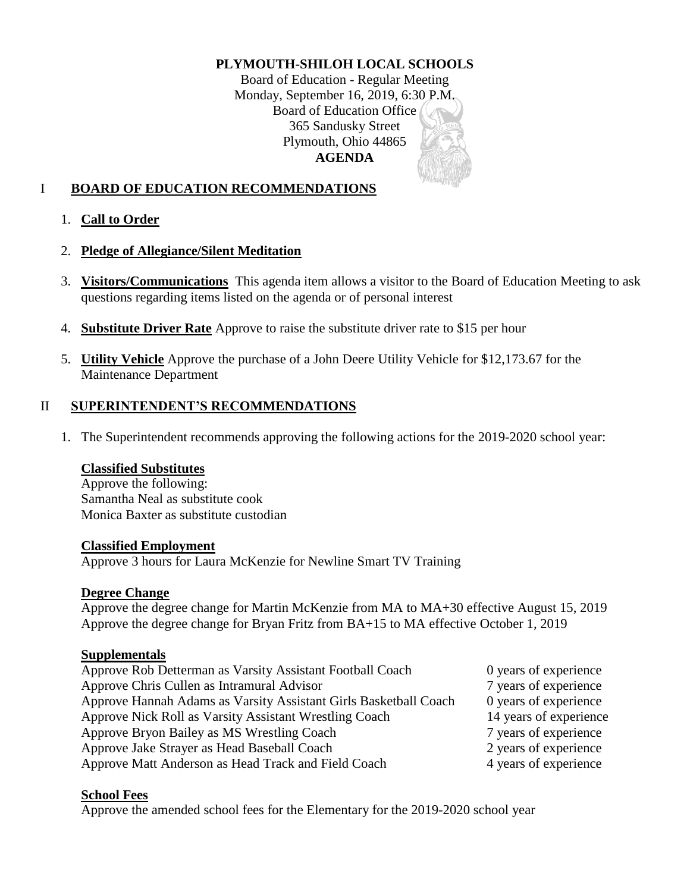### **PLYMOUTH-SHILOH LOCAL SCHOOLS**

Board of Education - Regular Meeting Monday, September 16, 2019, 6:30 P.M. Board of Education Office 365 Sandusky Street Plymouth, Ohio 44865 **AGENDA**

# I **BOARD OF EDUCATION RECOMMENDATIONS**

# 1. **Call to Order**

### 2. **Pledge of Allegiance/Silent Meditation**

- 3. **Visitors/Communications** This agenda item allows a visitor to the Board of Education Meeting to ask questions regarding items listed on the agenda or of personal interest
- 4. **Substitute Driver Rate** Approve to raise the substitute driver rate to \$15 per hour
- 5. **Utility Vehicle** Approve the purchase of a John Deere Utility Vehicle for \$12,173.67 for the Maintenance Department

### II **SUPERINTENDENT'S RECOMMENDATIONS**

1. The Superintendent recommends approving the following actions for the 2019-2020 school year:

### **Classified Substitutes**

Approve the following: Samantha Neal as substitute cook Monica Baxter as substitute custodian

#### **Classified Employment**

Approve 3 hours for Laura McKenzie for Newline Smart TV Training

### **Degree Change**

Approve the degree change for Martin McKenzie from MA to MA+30 effective August 15, 2019 Approve the degree change for Bryan Fritz from BA+15 to MA effective October 1, 2019

#### **Supplementals**

| Approve Rob Detterman as Varsity Assistant Football Coach        | 0 years of experience  |
|------------------------------------------------------------------|------------------------|
| Approve Chris Cullen as Intramural Advisor                       | 7 years of experience  |
| Approve Hannah Adams as Varsity Assistant Girls Basketball Coach | 0 years of experience  |
| Approve Nick Roll as Varsity Assistant Wrestling Coach           | 14 years of experience |
| Approve Bryon Bailey as MS Wrestling Coach                       | 7 years of experience  |
| Approve Jake Strayer as Head Baseball Coach                      | 2 years of experience  |
| Approve Matt Anderson as Head Track and Field Coach              | 4 years of experience  |

### **School Fees**

Approve the amended school fees for the Elementary for the 2019-2020 school year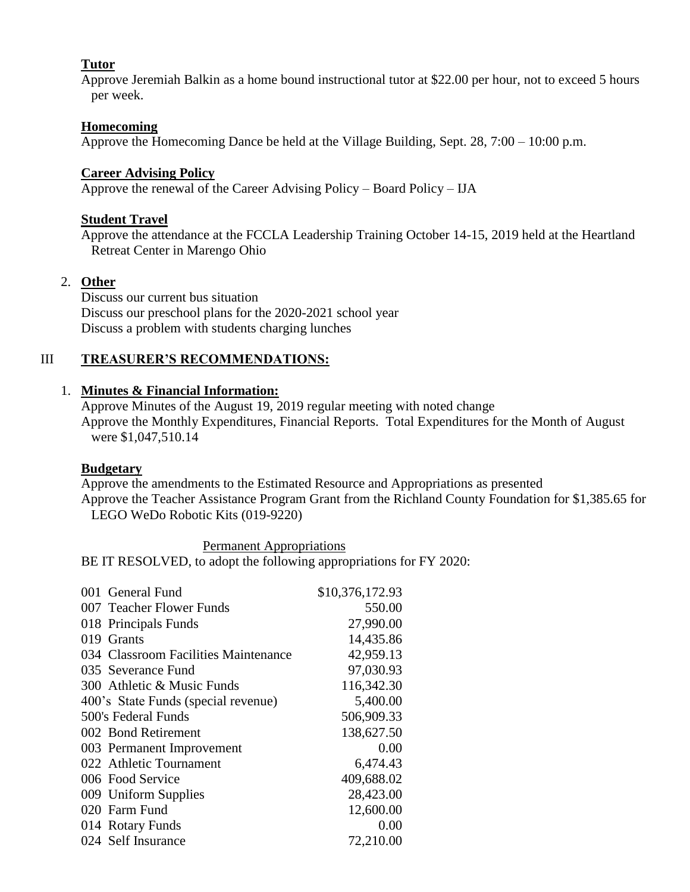# **Tutor**

Approve Jeremiah Balkin as a home bound instructional tutor at \$22.00 per hour, not to exceed 5 hours per week.

### **Homecoming**

Approve the Homecoming Dance be held at the Village Building, Sept. 28, 7:00 – 10:00 p.m.

#### **Career Advising Policy**

Approve the renewal of the Career Advising Policy – Board Policy – IJA

#### **Student Travel**

Approve the attendance at the FCCLA Leadership Training October 14-15, 2019 held at the Heartland Retreat Center in Marengo Ohio

#### 2. **Other**

Discuss our current bus situation Discuss our preschool plans for the 2020-2021 school year Discuss a problem with students charging lunches

### III **TREASURER'S RECOMMENDATIONS:**

# 1. **Minutes & Financial Information:**

Approve Minutes of the August 19, 2019 regular meeting with noted change Approve the Monthly Expenditures, Financial Reports. Total Expenditures for the Month of August were \$1,047,510.14

#### **Budgetary**

Approve the amendments to the Estimated Resource and Appropriations as presented Approve the Teacher Assistance Program Grant from the Richland County Foundation for \$1,385.65 for LEGO WeDo Robotic Kits (019-9220)

Permanent Appropriations BE IT RESOLVED, to adopt the following appropriations for FY 2020:

| 001 General Fund                     | \$10,376,172.93 |
|--------------------------------------|-----------------|
| 007 Teacher Flower Funds             | 550.00          |
| 018 Principals Funds                 | 27,990.00       |
| 019 Grants                           | 14,435.86       |
| 034 Classroom Facilities Maintenance | 42,959.13       |
| 035 Severance Fund                   | 97,030.93       |
| 300 Athletic & Music Funds           | 116,342.30      |
| 400's State Funds (special revenue)  | 5,400.00        |
| 500's Federal Funds                  | 506,909.33      |
| 002 Bond Retirement                  | 138,627.50      |
| 003 Permanent Improvement            | 0.00            |
| 022 Athletic Tournament              | 6,474.43        |
| 006 Food Service                     | 409,688.02      |
| 009 Uniform Supplies                 | 28,423.00       |
| 020 Farm Fund                        | 12,600.00       |
| 014 Rotary Funds                     | 0.00            |
| 024 Self Insurance                   | 72,210.00       |